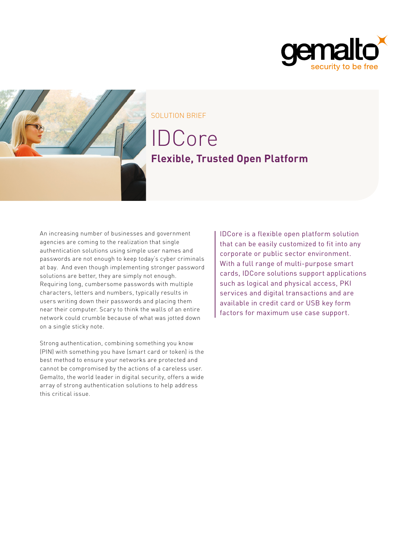



SOLUTION BRIEF

# IDCore **Flexible, Trusted Open Platform**

An increasing number of businesses and government agencies are coming to the realization that single authentication solutions using simple user names and passwords are not enough to keep today's cyber criminals at bay. And even though implementing stronger password solutions are better, they are simply not enough. Requiring long, cumbersome passwords with multiple characters, letters and numbers, typically results in users writing down their passwords and placing them near their computer. Scary to think the walls of an entire network could crumble because of what was jotted down on a single sticky note.

Strong authentication, combining something you know (PIN) with something you have (smart card or token) is the best method to ensure your networks are protected and cannot be compromised by the actions of a careless user. Gemalto, the world leader in digital security, offers a wide array of strong authentication solutions to help address this critical issue.

IDCore is a flexible open platform solution that can be easily customized to fit into any corporate or public sector environment. With a full range of multi-purpose smart cards, IDCore solutions support applications such as logical and physical access, PKI services and digital transactions and are available in credit card or USB key form factors for maximum use case support.